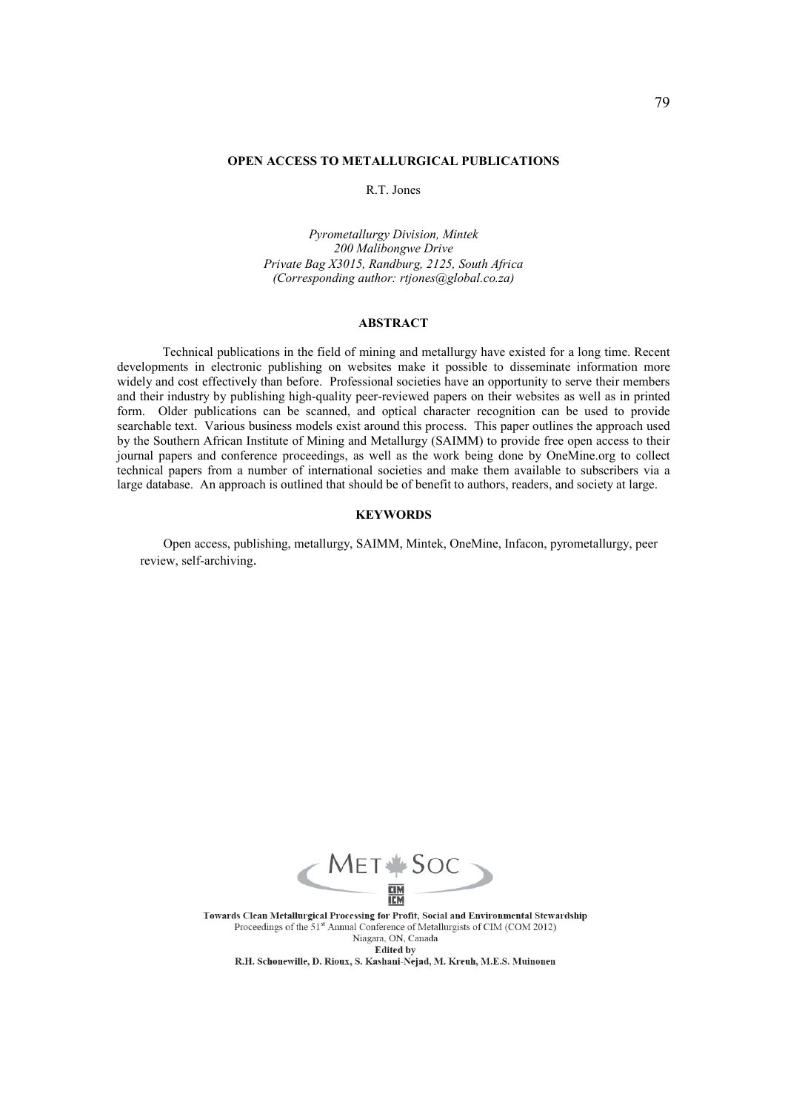## **OPEN ACCESS TO METALLURGICAL PUBLICATIONS**

R.T. Jones

*Pyrometallurgy Division, Mintek 200 Malibongwe Drive Private Bag X3015, Randburg, 2125, South Africa (Corresponding author: rtjones@global.co.za)* 

# **ABSTRACT**

Technical publications in the field of mining and metallurgy have existed for a long time. Recent developments in electronic publishing on websites make it possible to disseminate information more widely and cost effectively than before. Professional societies have an opportunity to serve their members and their industry by publishing high-quality peer-reviewed papers on their websites as well as in printed form. Older publications can be scanned, and optical character recognition can be used to provide searchable text. Various business models exist around this process. This paper outlines the approach used by the Southern African Institute of Mining and Metallurgy (SAIMM) to provide free open access to their journal papers and conference proceedings, as well as the work being done by OneMine.org to collect technical papers from a number of international societies and make them available to subscribers via a large database. An approach is outlined that should be of benefit to authors, readers, and society at large.

## **KEYWORDS**

Open access, publishing, metallurgy, SAIMM, Mintek, OneMine, Infacon, pyrometallurgy, peer review, self-archiving.



Towards Clean Metallurgical Processing for Profit, Social and Environmental Stewardship Proceedings of the 51<sup>st</sup> Annual Conference of Metallurgists of CIM (COM 2012) Niagara, ON, Canada **Edited by** 

R.H. Schonewille, D. Rioux, S. Kashani-Nejad, M. Kreuh, M.E.S. Muinonen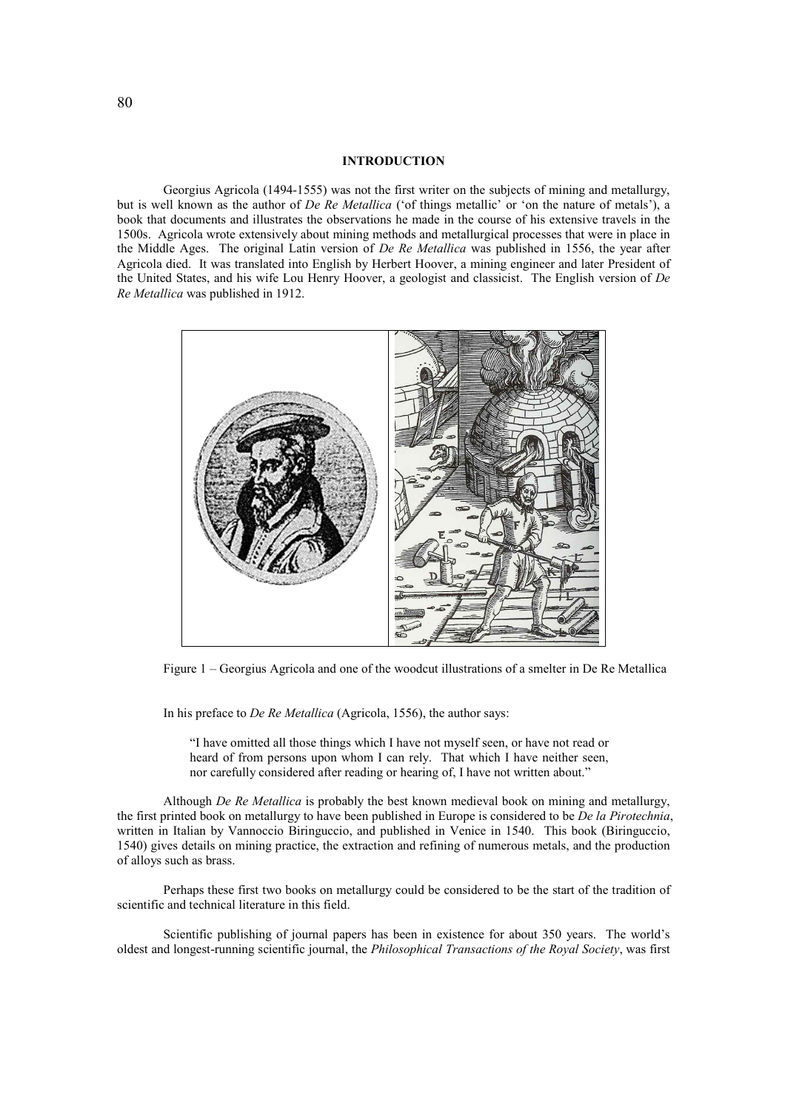## **INTRODUCTION**

Georgius Agricola (1494-1555) was not the first writer on the subjects of mining and metallurgy, but is well known as the author of *De Re Metallica* ('of things metallic' or 'on the nature of metals'), a book that documents and illustrates the observations he made in the course of his extensive travels in the 1500s. Agricola wrote extensively about mining methods and metallurgical processes that were in place in the Middle Ages. The original Latin version of *De Re Metallica* was published in 1556, the year after Agricola died. It was translated into English by Herbert Hoover, a mining engineer and later President of the United States, and his wife Lou Henry Hoover, a geologist and classicist. The English version of *De Re Metallica* was published in 1912.



Figure 1 – Georgius Agricola and one of the woodcut illustrations of a smelter in De Re Metallica

In his preface to *De Re Metallica* (Agricola, 1556), the author says:

"I have omitted all those things which I have not myself seen, or have not read or heard of from persons upon whom I can rely. That which I have neither seen, nor carefully considered after reading or hearing of, I have not written about."

Although *De Re Metallica* is probably the best known medieval book on mining and metallurgy, the first printed book on metallurgy to have been published in Europe is considered to be *De la Pirotechnia*, written in Italian by Vannoccio Biringuccio, and published in Venice in 1540. This book (Biringuccio, 1540) gives details on mining practice, the extraction and refining of numerous metals, and the production of alloys such as brass.

Perhaps these first two books on metallurgy could be considered to be the start of the tradition of scientific and technical literature in this field.

Scientific publishing of journal papers has been in existence for about 350 years. The world's oldest and longest-running scientific journal, the *Philosophical Transactions of the Royal Society*, was first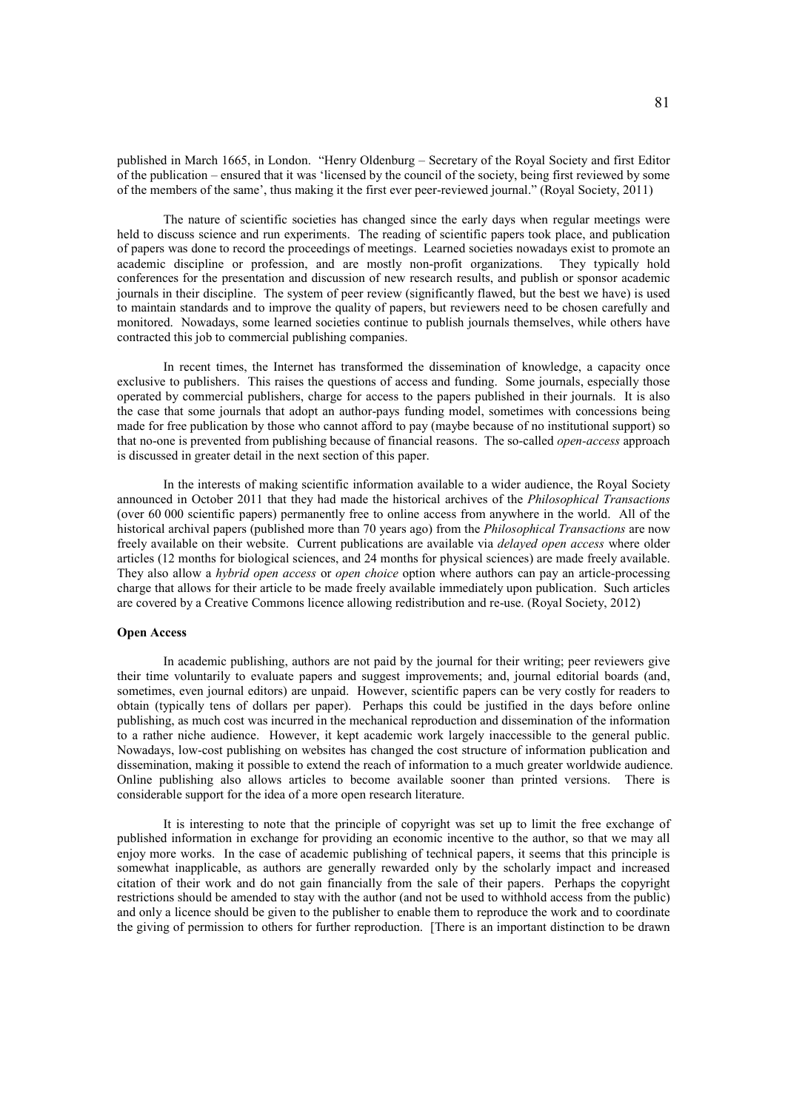published in March 1665, in London. "Henry Oldenburg – Secretary of the Royal Society and first Editor of the publication – ensured that it was 'licensed by the council of the society, being first reviewed by some of the members of the same', thus making it the first ever peer-reviewed journal." (Royal Society, 2011)

The nature of scientific societies has changed since the early days when regular meetings were held to discuss science and run experiments. The reading of scientific papers took place, and publication of papers was done to record the proceedings of meetings. Learned societies nowadays exist to promote an academic discipline or profession, and are mostly non-profit organizations. They typically hold conferences for the presentation and discussion of new research results, and publish or sponsor academic journals in their discipline. The system of peer review (significantly flawed, but the best we have) is used to maintain standards and to improve the quality of papers, but reviewers need to be chosen carefully and monitored. Nowadays, some learned societies continue to publish journals themselves, while others have contracted this job to commercial publishing companies.

In recent times, the Internet has transformed the dissemination of knowledge, a capacity once exclusive to publishers. This raises the questions of access and funding. Some journals, especially those operated by commercial publishers, charge for access to the papers published in their journals. It is also the case that some journals that adopt an author-pays funding model, sometimes with concessions being made for free publication by those who cannot afford to pay (maybe because of no institutional support) so that no-one is prevented from publishing because of financial reasons. The so-called *open-access* approach is discussed in greater detail in the next section of this paper.

In the interests of making scientific information available to a wider audience, the Royal Society announced in October 2011 that they had made the historical archives of the *Philosophical Transactions* (over 60 000 scientific papers) permanently free to online access from anywhere in the world. All of the historical archival papers (published more than 70 years ago) from the *Philosophical Transactions* are now freely available on their website. Current publications are available via *delayed open access* where older articles (12 months for biological sciences, and 24 months for physical sciences) are made freely available. They also allow a *hybrid open access* or *open choice* option where authors can pay an article-processing charge that allows for their article to be made freely available immediately upon publication. Such articles are covered by a Creative Commons licence allowing redistribution and re-use. (Royal Society, 2012)

## **Open Access**

In academic publishing, authors are not paid by the journal for their writing; peer reviewers give their time voluntarily to evaluate papers and suggest improvements; and, journal editorial boards (and, sometimes, even journal editors) are unpaid. However, scientific papers can be very costly for readers to obtain (typically tens of dollars per paper). Perhaps this could be justified in the days before online publishing, as much cost was incurred in the mechanical reproduction and dissemination of the information to a rather niche audience. However, it kept academic work largely inaccessible to the general public. Nowadays, low-cost publishing on websites has changed the cost structure of information publication and dissemination, making it possible to extend the reach of information to a much greater worldwide audience. Online publishing also allows articles to become available sooner than printed versions. There is considerable support for the idea of a more open research literature.

It is interesting to note that the principle of copyright was set up to limit the free exchange of published information in exchange for providing an economic incentive to the author, so that we may all enjoy more works. In the case of academic publishing of technical papers, it seems that this principle is somewhat inapplicable, as authors are generally rewarded only by the scholarly impact and increased citation of their work and do not gain financially from the sale of their papers. Perhaps the copyright restrictions should be amended to stay with the author (and not be used to withhold access from the public) and only a licence should be given to the publisher to enable them to reproduce the work and to coordinate the giving of permission to others for further reproduction. [There is an important distinction to be drawn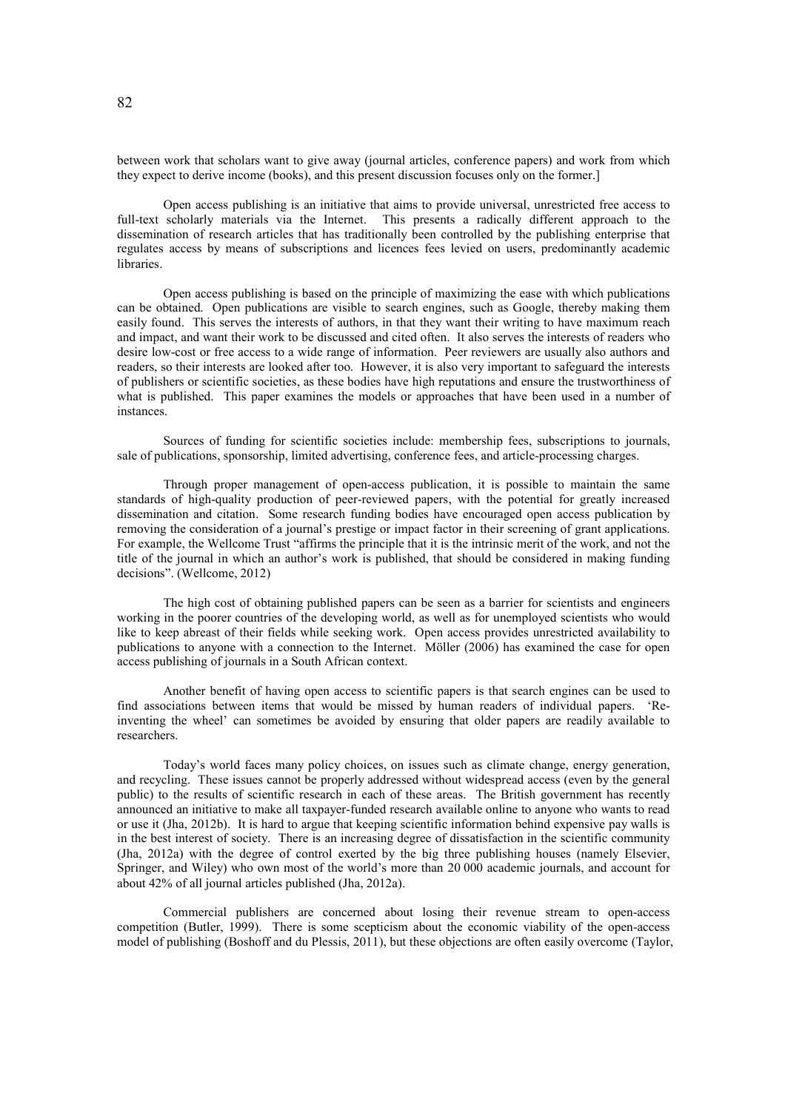between work that scholars want to give away (journal articles, conference papers) and work from which they expect to derive income (books), and this present discussion focuses only on the former.]

Open access publishing is an initiative that aims to provide universal, unrestricted free access to full-text scholarly materials via the Internet. This presents a radically different approach to the dissemination of research articles that has traditionally been controlled by the publishing enterprise that regulates access by means of subscriptions and licences fees levied on users, predominantly academic libraries.

Open access publishing is based on the principle of maximizing the ease with which publications can be obtained. Open publications are visible to search engines, such as Google, thereby making them easily found. This serves the interests of authors, in that they want their writing to have maximum reach and impact, and want their work to be discussed and cited often. It also serves the interests of readers who desire low-cost or free access to a wide range of information. Peer reviewers are usually also authors and readers, so their interests are looked after too. However, it is also very important to safeguard the interests of publishers or scientific societies, as these bodies have high reputations and ensure the trustworthiness of what is published. This paper examines the models or approaches that have been used in a number of instances.

Sources of funding for scientific societies include: membership fees, subscriptions to journals, sale of publications, sponsorship, limited advertising, conference fees, and article-processing charges.

Through proper management of open-access publication, it is possible to maintain the same standards of high-quality production of peer-reviewed papers, with the potential for greatly increased dissemination and citation. Some research funding bodies have encouraged open access publication by removing the consideration of a journal's prestige or impact factor in their screening of grant applications. For example, the Wellcome Trust "affirms the principle that it is the intrinsic merit of the work, and not the title of the journal in which an author's work is published, that should be considered in making funding decisions". (Wellcome, 2012)

The high cost of obtaining published papers can be seen as a barrier for scientists and engineers working in the poorer countries of the developing world, as well as for unemployed scientists who would like to keep abreast of their fields while seeking work. Open access provides unrestricted availability to publications to anyone with a connection to the Internet. Möller (2006) has examined the case for open access publishing of journals in a South African context.

Another benefit of having open access to scientific papers is that search engines can be used to find associations between items that would be missed by human readers of individual papers. 'Reinventing the wheel' can sometimes be avoided by ensuring that older papers are readily available to researchers.

Today's world faces many policy choices, on issues such as climate change, energy generation, and recycling. These issues cannot be properly addressed without widespread access (even by the general public) to the results of scientific research in each of these areas. The British government has recently announced an initiative to make all taxpayer-funded research available online to anyone who wants to read or use it (Jha, 2012b). It is hard to argue that keeping scientific information behind expensive pay walls is in the best interest of society. There is an increasing degree of dissatisfaction in the scientific community (Jha, 2012a) with the degree of control exerted by the big three publishing houses (namely Elsevier, Springer, and Wiley) who own most of the world's more than 20 000 academic journals, and account for about 42% of all journal articles published (Jha, 2012a).

Commercial publishers are concerned about losing their revenue stream to open-access competition (Butler, 1999). There is some scepticism about the economic viability of the open-access model of publishing (Boshoff and du Plessis, 2011), but these objections are often easily overcome (Taylor,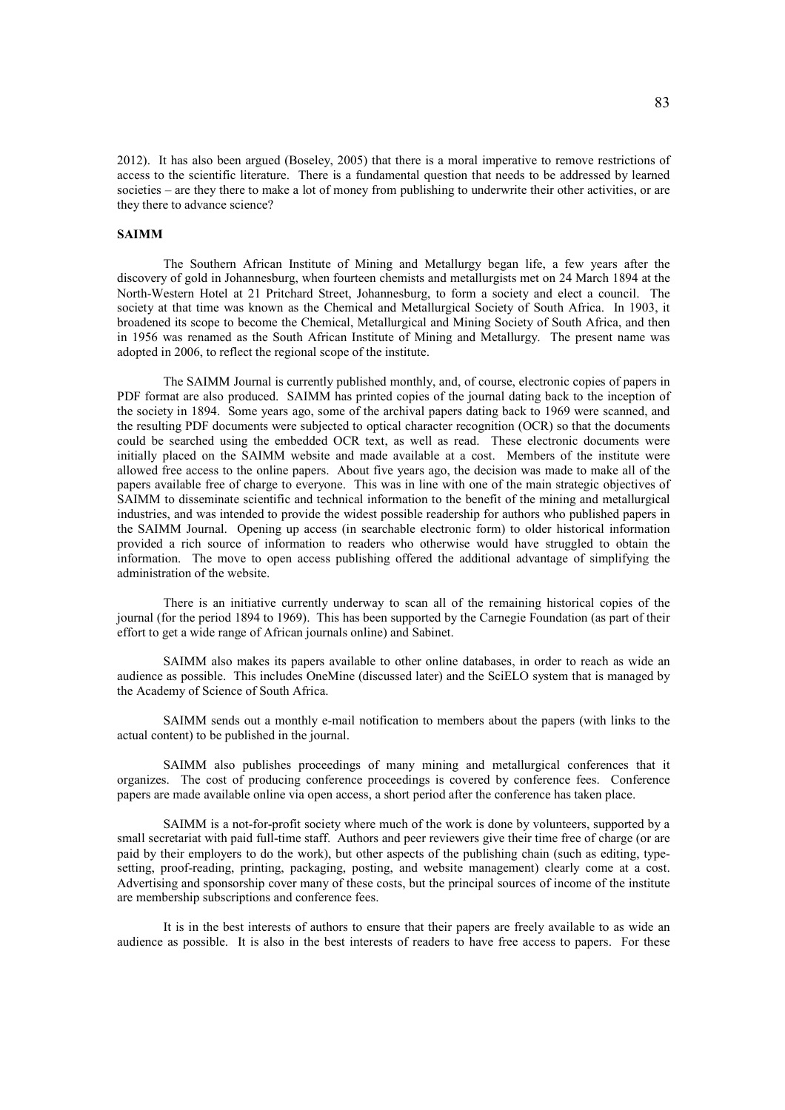2012). It has also been argued (Boseley, 2005) that there is a moral imperative to remove restrictions of access to the scientific literature. There is a fundamental question that needs to be addressed by learned societies – are they there to make a lot of money from publishing to underwrite their other activities, or are they there to advance science?

#### **SAIMM**

The Southern African Institute of Mining and Metallurgy began life, a few years after the discovery of gold in Johannesburg, when fourteen chemists and metallurgists met on 24 March 1894 at the North-Western Hotel at 21 Pritchard Street, Johannesburg, to form a society and elect a council. The society at that time was known as the Chemical and Metallurgical Society of South Africa. In 1903, it broadened its scope to become the Chemical, Metallurgical and Mining Society of South Africa, and then in 1956 was renamed as the South African Institute of Mining and Metallurgy. The present name was adopted in 2006, to reflect the regional scope of the institute.

The SAIMM Journal is currently published monthly, and, of course, electronic copies of papers in PDF format are also produced. SAIMM has printed copies of the journal dating back to the inception of the society in 1894. Some years ago, some of the archival papers dating back to 1969 were scanned, and the resulting PDF documents were subjected to optical character recognition (OCR) so that the documents could be searched using the embedded OCR text, as well as read. These electronic documents were initially placed on the SAIMM website and made available at a cost. Members of the institute were allowed free access to the online papers. About five years ago, the decision was made to make all of the papers available free of charge to everyone. This was in line with one of the main strategic objectives of SAIMM to disseminate scientific and technical information to the benefit of the mining and metallurgical industries, and was intended to provide the widest possible readership for authors who published papers in the SAIMM Journal. Opening up access (in searchable electronic form) to older historical information provided a rich source of information to readers who otherwise would have struggled to obtain the information. The move to open access publishing offered the additional advantage of simplifying the administration of the website.

There is an initiative currently underway to scan all of the remaining historical copies of the journal (for the period 1894 to 1969). This has been supported by the Carnegie Foundation (as part of their effort to get a wide range of African journals online) and Sabinet.

SAIMM also makes its papers available to other online databases, in order to reach as wide an audience as possible. This includes OneMine (discussed later) and the SciELO system that is managed by the Academy of Science of South Africa.

SAIMM sends out a monthly e-mail notification to members about the papers (with links to the actual content) to be published in the journal.

SAIMM also publishes proceedings of many mining and metallurgical conferences that it organizes. The cost of producing conference proceedings is covered by conference fees. Conference papers are made available online via open access, a short period after the conference has taken place.

SAIMM is a not-for-profit society where much of the work is done by volunteers, supported by a small secretariat with paid full-time staff. Authors and peer reviewers give their time free of charge (or are paid by their employers to do the work), but other aspects of the publishing chain (such as editing, typesetting, proof-reading, printing, packaging, posting, and website management) clearly come at a cost. Advertising and sponsorship cover many of these costs, but the principal sources of income of the institute are membership subscriptions and conference fees.

It is in the best interests of authors to ensure that their papers are freely available to as wide an audience as possible. It is also in the best interests of readers to have free access to papers. For these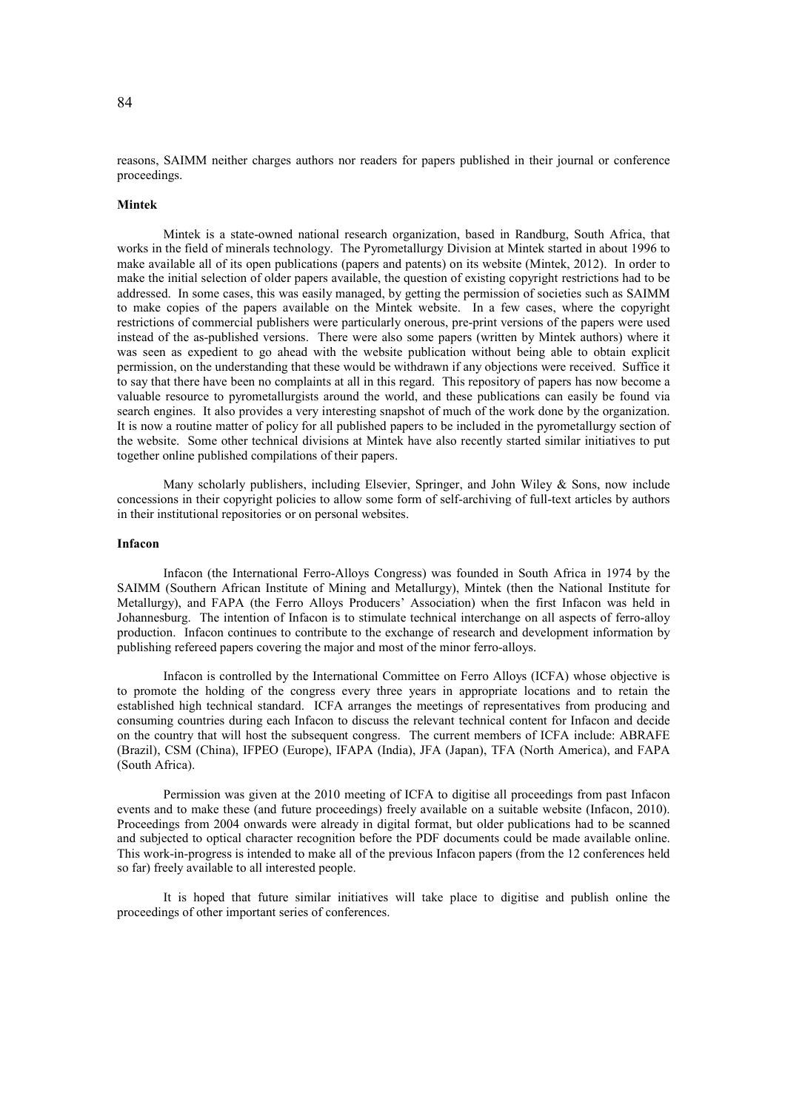reasons, SAIMM neither charges authors nor readers for papers published in their journal or conference proceedings.

## **Mintek**

Mintek is a state-owned national research organization, based in Randburg, South Africa, that works in the field of minerals technology. The Pyrometallurgy Division at Mintek started in about 1996 to make available all of its open publications (papers and patents) on its website (Mintek, 2012). In order to make the initial selection of older papers available, the question of existing copyright restrictions had to be addressed. In some cases, this was easily managed, by getting the permission of societies such as SAIMM to make copies of the papers available on the Mintek website. In a few cases, where the copyright restrictions of commercial publishers were particularly onerous, pre-print versions of the papers were used instead of the as-published versions. There were also some papers (written by Mintek authors) where it was seen as expedient to go ahead with the website publication without being able to obtain explicit permission, on the understanding that these would be withdrawn if any objections were received. Suffice it to say that there have been no complaints at all in this regard. This repository of papers has now become a valuable resource to pyrometallurgists around the world, and these publications can easily be found via search engines. It also provides a very interesting snapshot of much of the work done by the organization. It is now a routine matter of policy for all published papers to be included in the pyrometallurgy section of the website. Some other technical divisions at Mintek have also recently started similar initiatives to put together online published compilations of their papers.

Many scholarly publishers, including Elsevier, Springer, and John Wiley & Sons, now include concessions in their copyright policies to allow some form of self-archiving of full-text articles by authors in their institutional repositories or on personal websites.

## **Infacon**

Infacon (the International Ferro-Alloys Congress) was founded in South Africa in 1974 by the SAIMM (Southern African Institute of Mining and Metallurgy), Mintek (then the National Institute for Metallurgy), and FAPA (the Ferro Alloys Producers' Association) when the first Infacon was held in Johannesburg. The intention of Infacon is to stimulate technical interchange on all aspects of ferro-alloy production. Infacon continues to contribute to the exchange of research and development information by publishing refereed papers covering the major and most of the minor ferro-alloys.

Infacon is controlled by the International Committee on Ferro Alloys (ICFA) whose objective is to promote the holding of the congress every three years in appropriate locations and to retain the established high technical standard. ICFA arranges the meetings of representatives from producing and consuming countries during each Infacon to discuss the relevant technical content for Infacon and decide on the country that will host the subsequent congress. The current members of ICFA include: ABRAFE (Brazil), CSM (China), IFPEO (Europe), IFAPA (India), JFA (Japan), TFA (North America), and FAPA (South Africa).

Permission was given at the 2010 meeting of ICFA to digitise all proceedings from past Infacon events and to make these (and future proceedings) freely available on a suitable website (Infacon, 2010). Proceedings from 2004 onwards were already in digital format, but older publications had to be scanned and subjected to optical character recognition before the PDF documents could be made available online. This work-in-progress is intended to make all of the previous Infacon papers (from the 12 conferences held so far) freely available to all interested people.

It is hoped that future similar initiatives will take place to digitise and publish online the proceedings of other important series of conferences.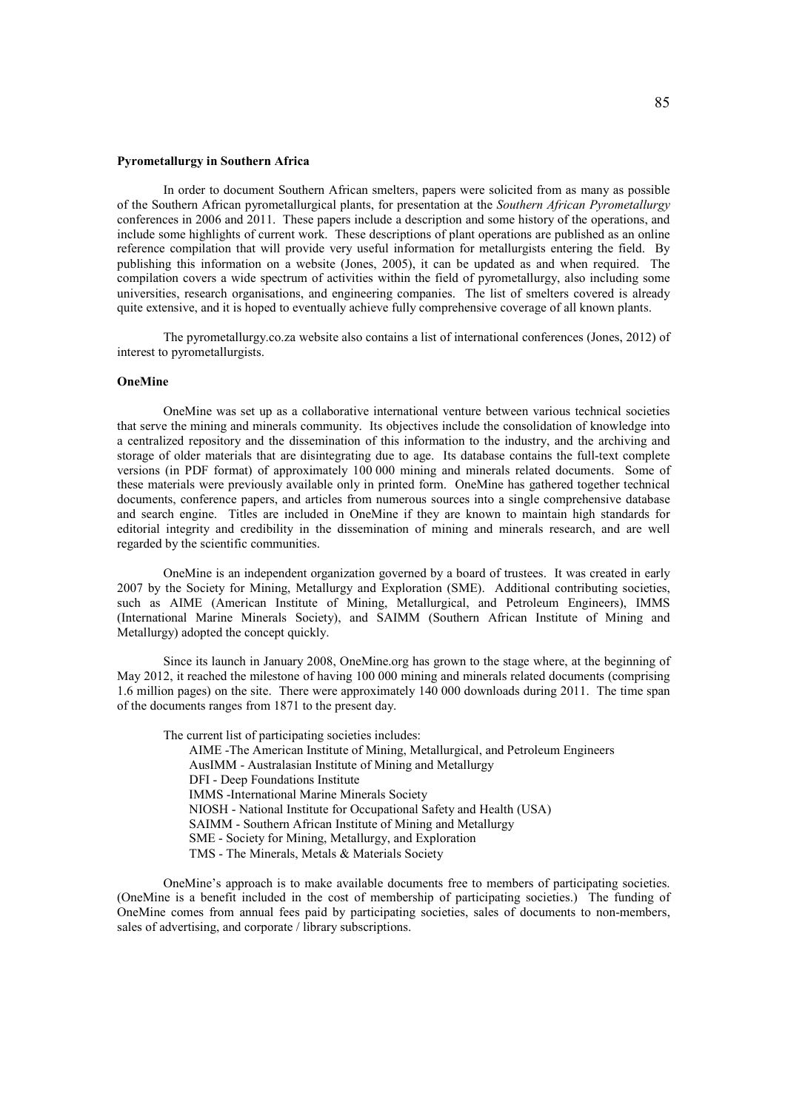#### **Pyrometallurgy in Southern Africa**

In order to document Southern African smelters, papers were solicited from as many as possible of the Southern African pyrometallurgical plants, for presentation at the *Southern African Pyrometallurgy* conferences in 2006 and 2011. These papers include a description and some history of the operations, and include some highlights of current work. These descriptions of plant operations are published as an online reference compilation that will provide very useful information for metallurgists entering the field. By publishing this information on a website (Jones, 2005), it can be updated as and when required. The compilation covers a wide spectrum of activities within the field of pyrometallurgy, also including some universities, research organisations, and engineering companies. The list of smelters covered is already quite extensive, and it is hoped to eventually achieve fully comprehensive coverage of all known plants.

The pyrometallurgy.co.za website also contains a list of international conferences (Jones, 2012) of interest to pyrometallurgists.

## **OneMine**

OneMine was set up as a collaborative international venture between various technical societies that serve the mining and minerals community. Its objectives include the consolidation of knowledge into a centralized repository and the dissemination of this information to the industry, and the archiving and storage of older materials that are disintegrating due to age. Its database contains the full-text complete versions (in PDF format) of approximately 100 000 mining and minerals related documents. Some of these materials were previously available only in printed form. OneMine has gathered together technical documents, conference papers, and articles from numerous sources into a single comprehensive database and search engine. Titles are included in OneMine if they are known to maintain high standards for editorial integrity and credibility in the dissemination of mining and minerals research, and are well regarded by the scientific communities.

OneMine is an independent organization governed by a board of trustees. It was created in early 2007 by the Society for Mining, Metallurgy and Exploration (SME). Additional contributing societies, such as AIME (American Institute of Mining, Metallurgical, and Petroleum Engineers), IMMS (International Marine Minerals Society), and SAIMM (Southern African Institute of Mining and Metallurgy) adopted the concept quickly.

Since its launch in January 2008, OneMine.org has grown to the stage where, at the beginning of May 2012, it reached the milestone of having 100 000 mining and minerals related documents (comprising 1.6 million pages) on the site. There were approximately 140 000 downloads during 2011. The time span of the documents ranges from 1871 to the present day.

The current list of participating societies includes: AIME -The American Institute of Mining, Metallurgical, and Petroleum Engineers AusIMM - Australasian Institute of Mining and Metallurgy DFI - Deep Foundations Institute IMMS -International Marine Minerals Society NIOSH - National Institute for Occupational Safety and Health (USA) SAIMM - Southern African Institute of Mining and Metallurgy SME - Society for Mining, Metallurgy, and Exploration TMS - The Minerals, Metals & Materials Society

OneMine's approach is to make available documents free to members of participating societies. (OneMine is a benefit included in the cost of membership of participating societies.) The funding of OneMine comes from annual fees paid by participating societies, sales of documents to non-members, sales of advertising, and corporate / library subscriptions.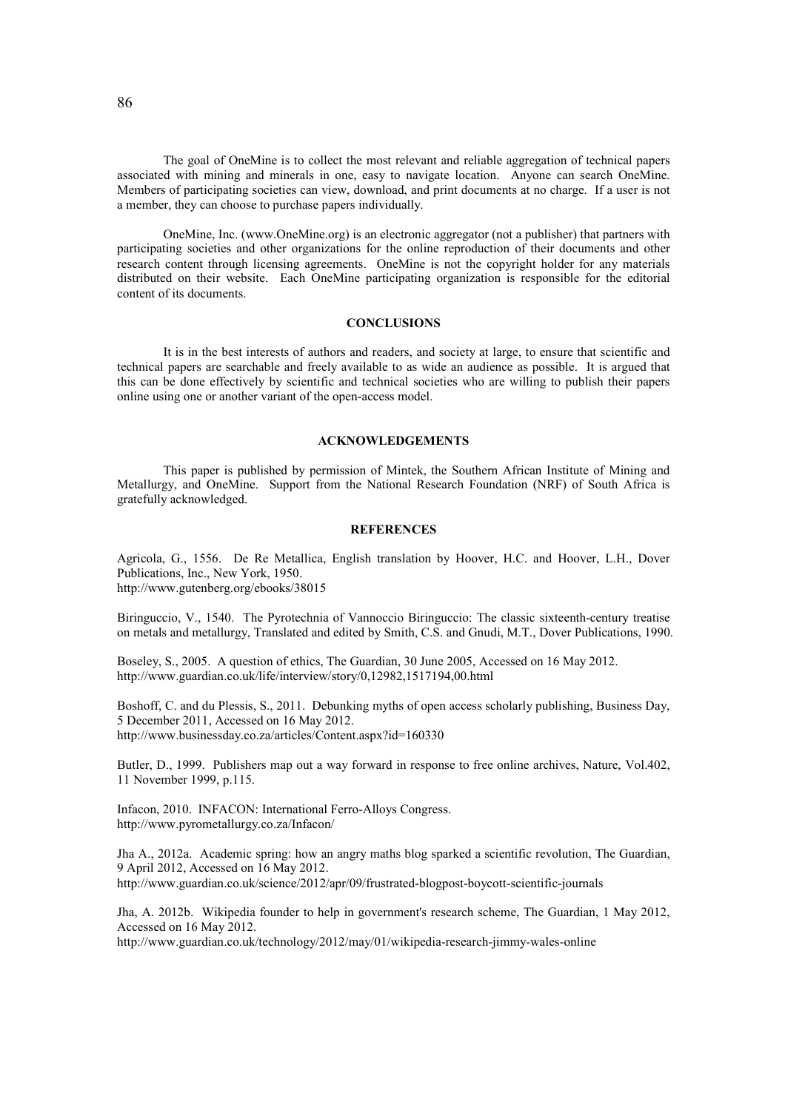The goal of OneMine is to collect the most relevant and reliable aggregation of technical papers associated with mining and minerals in one, easy to navigate location. Anyone can search OneMine. Members of participating societies can view, download, and print documents at no charge. If a user is not a member, they can choose to purchase papers individually.

OneMine, Inc. (www.OneMine.org) is an electronic aggregator (not a publisher) that partners with participating societies and other organizations for the online reproduction of their documents and other research content through licensing agreements. OneMine is not the copyright holder for any materials distributed on their website. Each OneMine participating organization is responsible for the editorial content of its documents.

## **CONCLUSIONS**

It is in the best interests of authors and readers, and society at large, to ensure that scientific and technical papers are searchable and freely available to as wide an audience as possible. It is argued that this can be done effectively by scientific and technical societies who are willing to publish their papers online using one or another variant of the open-access model.

## **ACKNOWLEDGEMENTS**

This paper is published by permission of Mintek, the Southern African Institute of Mining and Metallurgy, and OneMine. Support from the National Research Foundation (NRF) of South Africa is gratefully acknowledged.

## **REFERENCES**

Agricola, G., 1556. De Re Metallica, English translation by Hoover, H.C. and Hoover, L.H., Dover Publications, Inc., New York, 1950. http://www.gutenberg.org/ebooks/38015

Biringuccio, V., 1540. The Pyrotechnia of Vannoccio Biringuccio: The classic sixteenth-century treatise on metals and metallurgy, Translated and edited by Smith, C.S. and Gnudi, M.T., Dover Publications, 1990.

Boseley, S., 2005. A question of ethics, The Guardian, 30 June 2005, Accessed on 16 May 2012. http://www.guardian.co.uk/life/interview/story/0,12982,1517194,00.html

Boshoff, C. and du Plessis, S., 2011. Debunking myths of open access scholarly publishing, Business Day, 5 December 2011, Accessed on 16 May 2012. http://www.businessday.co.za/articles/Content.aspx?id=160330

Butler, D., 1999. Publishers map out a way forward in response to free online archives, Nature, Vol.402, 11 November 1999, p.115.

Infacon, 2010. INFACON: International Ferro-Alloys Congress. http://www.pyrometallurgy.co.za/Infacon/

Jha A., 2012a. Academic spring: how an angry maths blog sparked a scientific revolution, The Guardian, 9 April 2012, Accessed on 16 May 2012. http://www.guardian.co.uk/science/2012/apr/09/frustrated-blogpost-boycott-scientific-journals

Jha, A. 2012b. Wikipedia founder to help in government's research scheme, The Guardian, 1 May 2012, Accessed on 16 May 2012.

http://www.guardian.co.uk/technology/2012/may/01/wikipedia-research-jimmy-wales-online